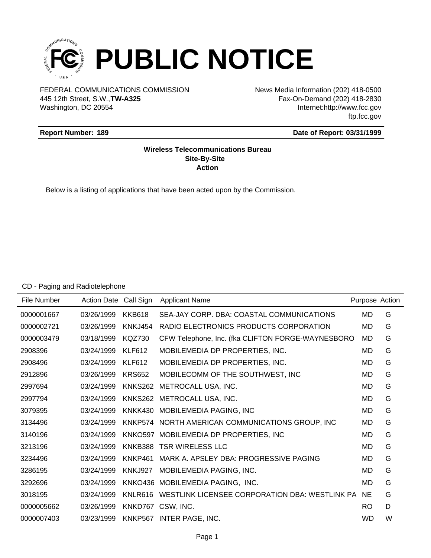

FEDERAL COMMUNICATIONS COMMISSION News Media Information (202) 418-0500 Washington, DC 20554 445 12th Street, S.W.,**TW-A325**

Fax-On-Demand (202) 418-2830 Internet:http://www.fcc.gov ftp.fcc.gov

### **Report Number: 189**

#### **Date of Report: 03/31/1999**

## **Wireless Telecommunications Bureau Site-By-Site Action**

Below is a listing of applications that have been acted upon by the Commission.

#### CD - Paging and Radiotelephone

| File Number | Action Date Call Sign |                | <b>Applicant Name</b>                                     | Purpose Action |   |
|-------------|-----------------------|----------------|-----------------------------------------------------------|----------------|---|
| 0000001667  | 03/26/1999            | <b>KKB618</b>  | SEA-JAY CORP. DBA: COASTAL COMMUNICATIONS                 | MD             | G |
| 0000002721  | 03/26/1999            | <b>KNKJ454</b> | RADIO ELECTRONICS PRODUCTS CORPORATION                    | MD             | G |
| 0000003479  | 03/18/1999            | <b>KQZ730</b>  | CFW Telephone, Inc. (fka CLIFTON FORGE-WAYNESBORO         | <b>MD</b>      | G |
| 2908396     | 03/24/1999            | <b>KLF612</b>  | MOBILEMEDIA DP PROPERTIES, INC.                           | <b>MD</b>      | G |
| 2908496     | 03/24/1999            | <b>KLF612</b>  | MOBILEMEDIA DP PROPERTIES, INC.                           | MD             | G |
| 2912896     | 03/26/1999            | <b>KRS652</b>  | MOBILECOMM OF THE SOUTHWEST, INC                          | MD             | G |
| 2997694     | 03/24/1999            |                | KNKS262 METROCALL USA, INC.                               | <b>MD</b>      | G |
| 2997794     | 03/24/1999            |                | KNKS262 METROCALL USA, INC.                               | MD             | G |
| 3079395     | 03/24/1999            |                | KNKK430 MOBILEMEDIA PAGING, INC                           | MD             | G |
| 3134496     | 03/24/1999            |                | KNKP574 NORTH AMERICAN COMMUNICATIONS GROUP, INC          | MD             | G |
| 3140196     | 03/24/1999            |                | KNKO597 MOBILEMEDIA DP PROPERTIES, INC                    | <b>MD</b>      | G |
| 3213196     | 03/24/1999            |                | KNKB388 TSR WIRELESS LLC                                  | <b>MD</b>      | G |
| 3234496     | 03/24/1999            | KNKP461        | MARK A. APSLEY DBA: PROGRESSIVE PAGING                    | <b>MD</b>      | G |
| 3286195     | 03/24/1999            | KNKJ927        | MOBILEMEDIA PAGING, INC.                                  | <b>MD</b>      | G |
| 3292696     | 03/24/1999            |                | KNKO436 MOBILEMEDIA PAGING, INC.                          | <b>MD</b>      | G |
| 3018195     | 03/24/1999            |                | KNLR616 WESTLINK LICENSEE CORPORATION DBA: WESTLINK PA NE |                | G |
| 0000005662  | 03/26/1999            | KNKD767        | CSW, INC.                                                 | <b>RO</b>      | D |
| 0000007403  | 03/23/1999            |                | KNKP567 INTER PAGE, INC.                                  | <b>WD</b>      | W |